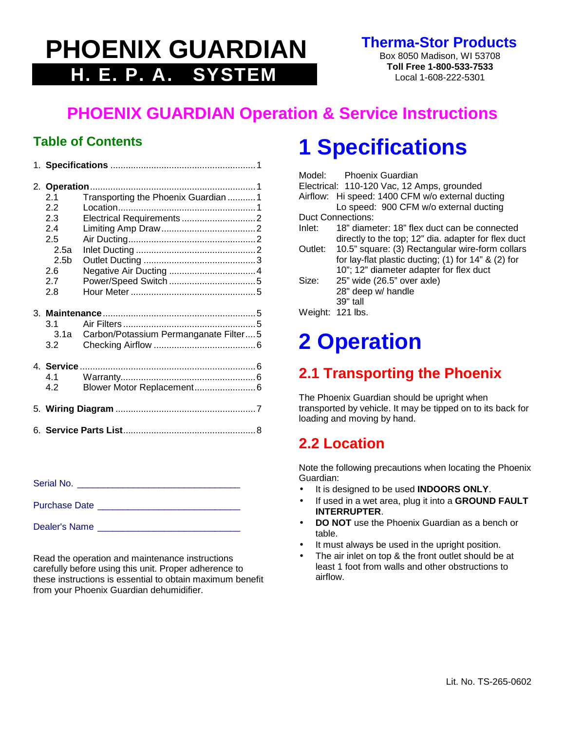# **PHOENIX GUARDIAN H. E. P. A. SYSTEM**

**Therma-Stor Products**

Box 8050 Madison, WI 53708 **Toll Free 1-800-533-7533** Local 1-608-222-5301

## **PHOENIX GUARDIAN Operation & Service Instructions**

#### **Table of Contents**

| 2.1<br>2.2<br>2.3<br>2.4<br>2.5<br>2.5a<br>2.5 <sub>b</sub><br>2.6<br>2.7<br>2.8 | Transporting the Phoenix Guardian 1<br>Electrical Requirements 2 |  |
|----------------------------------------------------------------------------------|------------------------------------------------------------------|--|
| 3.1<br>3.1a<br>3.2                                                               | Carbon/Potassium Permanganate Filter5                            |  |
| 4.1<br>4.2                                                                       |                                                                  |  |
|                                                                                  |                                                                  |  |
|                                                                                  |                                                                  |  |

Serial No. \_\_\_\_\_\_\_\_\_\_\_\_\_\_\_\_\_\_\_\_\_\_\_\_\_\_\_\_\_\_\_\_

Purchase Date \_\_\_\_\_\_\_\_\_\_\_\_\_\_\_\_\_\_\_\_\_\_\_\_\_\_\_\_

Dealer's Name \_\_\_\_\_\_\_\_\_\_\_\_\_\_\_\_\_\_\_\_\_\_\_\_\_\_\_\_

Read the operation and maintenance instructions carefully before using this unit. Proper adherence to these instructions is essential to obtain maximum benefit from your Phoenix Guardian dehumidifier.

# **1 Specifications**

|                   |          | Model: Phoenix Guardian                                 |  |  |  |
|-------------------|----------|---------------------------------------------------------|--|--|--|
|                   |          | Electrical: 110-120 Vac, 12 Amps, grounded              |  |  |  |
|                   | Airflow: | Hi speed: 1400 CFM w/o external ducting                 |  |  |  |
|                   |          | Lo speed: 900 CFM w/o external ducting                  |  |  |  |
| Duct Connections: |          |                                                         |  |  |  |
|                   | Inlet:   | 18" diameter: 18" flex duct can be connected            |  |  |  |
|                   |          | directly to the top; 12" dia. adapter for flex duct     |  |  |  |
|                   |          | Outlet: 10.5" square: (3) Rectangular wire-form collars |  |  |  |
|                   |          | for lay-flat plastic ducting; $(1)$ for 14" & $(2)$ for |  |  |  |
|                   |          | 10"; 12" diameter adapter for flex duct                 |  |  |  |
|                   | Size:    | 25" wide (26.5" over axle)                              |  |  |  |
|                   |          | 28" deep w/ handle                                      |  |  |  |
|                   |          | $39"$ tall                                              |  |  |  |
|                   |          | Weight: 121 lbs.                                        |  |  |  |
|                   |          |                                                         |  |  |  |

# **2 Operation**

## **2.1 Transporting the Phoenix**

The Phoenix Guardian should be upright when transported by vehicle. It may be tipped on to its back for loading and moving by hand.

#### **2.2 Location**

Note the following precautions when locating the Phoenix Guardian:

- It is designed to be used **INDOORS ONLY**.
- If used in a wet area, plug it into a **GROUND FAULT INTERRUPTER**.
- **DO NOT** use the Phoenix Guardian as a bench or table.
- It must always be used in the upright position.
- The air inlet on top & the front outlet should be at least 1 foot from walls and other obstructions to airflow.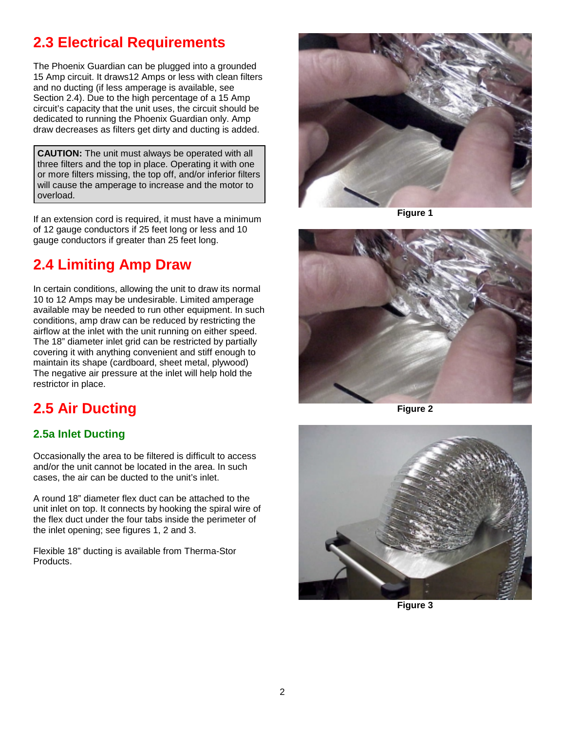### **2.3 Electrical Requirements**

The Phoenix Guardian can be plugged into a grounded 15 Amp circuit. It draws12 Amps or less with clean filters and no ducting (if less amperage is available, see Section 2.4). Due to the high percentage of a 15 Amp circuit's capacity that the unit uses, the circuit should be dedicated to running the Phoenix Guardian only. Amp draw decreases as filters get dirty and ducting is added.

**CAUTION:** The unit must always be operated with all three filters and the top in place. Operating it with one or more filters missing, the top off, and/or inferior filters will cause the amperage to increase and the motor to overload.

If an extension cord is required, it must have a minimum of 12 gauge conductors if 25 feet long or less and 10 gauge conductors if greater than 25 feet long.

#### **2.4 Limiting Amp Draw**

In certain conditions, allowing the unit to draw its normal 10 to 12 Amps may be undesirable. Limited amperage available may be needed to run other equipment. In such conditions, amp draw can be reduced by restricting the airflow at the inlet with the unit running on either speed. The 18" diameter inlet grid can be restricted by partially covering it with anything convenient and stiff enough to maintain its shape (cardboard, sheet metal, plywood) The negative air pressure at the inlet will help hold the restrictor in place.

#### **2.5 Air Ducting**

#### **2.5a Inlet Ducting**

Occasionally the area to be filtered is difficult to access and/or the unit cannot be located in the area. In such cases, the air can be ducted to the unit's inlet.

A round 18" diameter flex duct can be attached to the unit inlet on top. It connects by hooking the spiral wire of the flex duct under the four tabs inside the perimeter of the inlet opening; see figures 1, 2 and 3.

Flexible 18" ducting is available from Therma-Stor Products.



**Figure 1**



**Figure 2**



**Figure 3**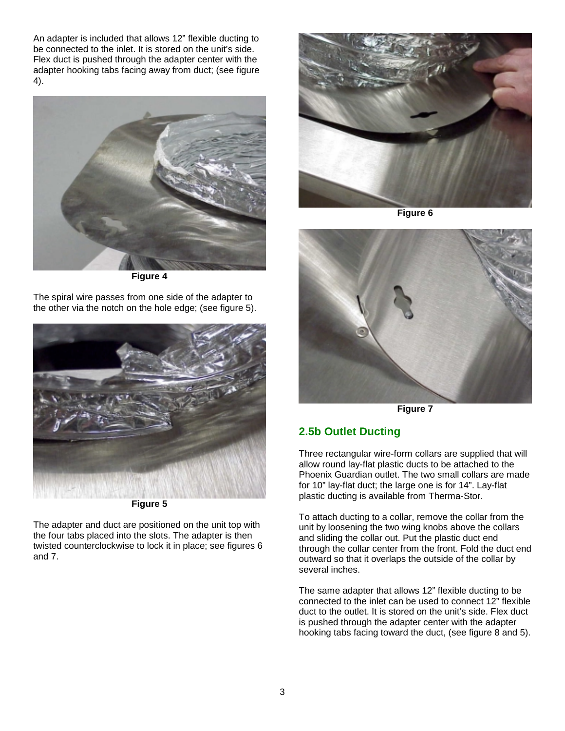An adapter is included that allows 12" flexible ducting to be connected to the inlet. It is stored on the unit's side. Flex duct is pushed through the adapter center with the adapter hooking tabs facing away from duct; (see figure 4).



**Figure 4**

The spiral wire passes from one side of the adapter to the other via the notch on the hole edge; (see figure 5).



**Figure 5**

The adapter and duct are positioned on the unit top with the four tabs placed into the slots. The adapter is then twisted counterclockwise to lock it in place; see figures 6 and 7.



**Figure 6**



**Figure 7**

#### **2.5b Outlet Ducting**

Three rectangular wire-form collars are supplied that will allow round lay-flat plastic ducts to be attached to the Phoenix Guardian outlet. The two small collars are made for 10" lay-flat duct; the large one is for 14". Lay-flat plastic ducting is available from Therma-Stor.

To attach ducting to a collar, remove the collar from the unit by loosening the two wing knobs above the collars and sliding the collar out. Put the plastic duct end through the collar center from the front. Fold the duct end outward so that it overlaps the outside of the collar by several inches.

The same adapter that allows 12" flexible ducting to be connected to the inlet can be used to connect 12" flexible duct to the outlet. It is stored on the unit's side. Flex duct is pushed through the adapter center with the adapter hooking tabs facing toward the duct, (see figure 8 and 5).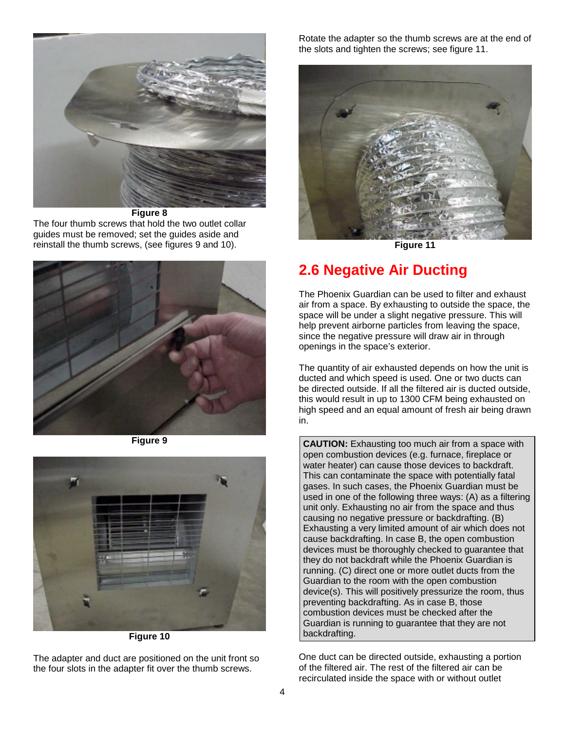

**Figure 8** The four thumb screws that hold the two outlet collar guides must be removed; set the guides aside and reinstall the thumb screws, (see figures 9 and 10).



**Figure 9**



**Figure 10**

The adapter and duct are positioned on the unit front so the four slots in the adapter fit over the thumb screws.

Rotate the adapter so the thumb screws are at the end of the slots and tighten the screws; see figure 11.



**Figure 11**

### **2.6 Negative Air Ducting**

The Phoenix Guardian can be used to filter and exhaust air from a space. By exhausting to outside the space, the space will be under a slight negative pressure. This will help prevent airborne particles from leaving the space, since the negative pressure will draw air in through openings in the space's exterior.

The quantity of air exhausted depends on how the unit is ducted and which speed is used. One or two ducts can be directed outside. If all the filtered air is ducted outside, this would result in up to 1300 CFM being exhausted on high speed and an equal amount of fresh air being drawn in.

**CAUTION:** Exhausting too much air from a space with open combustion devices (e.g. furnace, fireplace or water heater) can cause those devices to backdraft. This can contaminate the space with potentially fatal gases. In such cases, the Phoenix Guardian must be used in one of the following three ways: (A) as a filtering unit only. Exhausting no air from the space and thus causing no negative pressure or backdrafting. (B) Exhausting a very limited amount of air which does not cause backdrafting. In case B, the open combustion devices must be thoroughly checked to guarantee that they do not backdraft while the Phoenix Guardian is running. (C) direct one or more outlet ducts from the Guardian to the room with the open combustion device(s). This will positively pressurize the room, thus preventing backdrafting. As in case B, those combustion devices must be checked after the Guardian is running to guarantee that they are not backdrafting.

One duct can be directed outside, exhausting a portion of the filtered air. The rest of the filtered air can be recirculated inside the space with or without outlet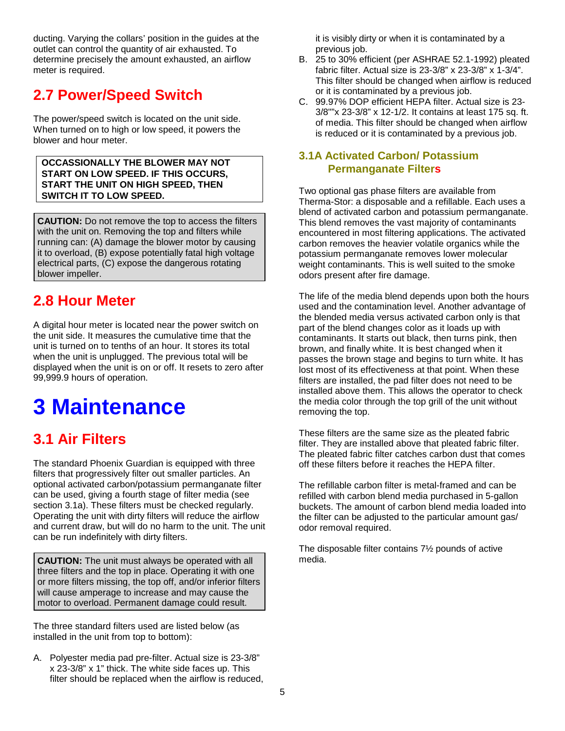ducting. Varying the collars' position in the guides at the outlet can control the quantity of air exhausted. To determine precisely the amount exhausted, an airflow meter is required.

#### **2.7 Power/Speed Switch**

The power/speed switch is located on the unit side. When turned on to high or low speed, it powers the blower and hour meter.

**OCCASSIONALLY THE BLOWER MAY NOT START ON LOW SPEED. IF THIS OCCURS, START THE UNIT ON HIGH SPEED, THEN SWITCH IT TO LOW SPEED.**

**CAUTION:** Do not remove the top to access the filters with the unit on. Removing the top and filters while running can: (A) damage the blower motor by causing it to overload, (B) expose potentially fatal high voltage electrical parts, (C) expose the dangerous rotating blower impeller.

### **2.8 Hour Meter**

A digital hour meter is located near the power switch on the unit side. It measures the cumulative time that the unit is turned on to tenths of an hour. It stores its total when the unit is unplugged. The previous total will be displayed when the unit is on or off. It resets to zero after 99,999.9 hours of operation.

# **3 Maintenance**

#### **3.1 Air Filters**

The standard Phoenix Guardian is equipped with three filters that progressively filter out smaller particles. An optional activated carbon/potassium permanganate filter can be used, giving a fourth stage of filter media (see section 3.1a). These filters must be checked regularly. Operating the unit with dirty filters will reduce the airflow and current draw, but will do no harm to the unit. The unit can be run indefinitely with dirty filters.

**CAUTION:** The unit must always be operated with all three filters and the top in place. Operating it with one or more filters missing, the top off, and/or inferior filters will cause amperage to increase and may cause the motor to overload. Permanent damage could result.

The three standard filters used are listed below (as installed in the unit from top to bottom):

A. Polyester media pad pre-filter. Actual size is 23-3/8" x 23-3/8" x 1" thick. The white side faces up. This filter should be replaced when the airflow is reduced, it is visibly dirty or when it is contaminated by a previous job.

- B. 25 to 30% efficient (per ASHRAE 52.1-1992) pleated fabric filter. Actual size is 23-3/8" x 23-3/8" x 1-3/4". This filter should be changed when airflow is reduced or it is contaminated by a previous job.
- C. 99.97% DOP efficient HEPA filter. Actual size is 23- 3/8""x 23-3/8" x 12-1/2. It contains at least 175 sq. ft. of media. This filter should be changed when airflow is reduced or it is contaminated by a previous job.

#### **3.1A Activated Carbon/ Potassium Permanganate Filters**

Two optional gas phase filters are available from Therma-Stor: a disposable and a refillable. Each uses a blend of activated carbon and potassium permanganate. This blend removes the vast majority of contaminants encountered in most filtering applications. The activated carbon removes the heavier volatile organics while the potassium permanganate removes lower molecular weight contaminants. This is well suited to the smoke odors present after fire damage.

The life of the media blend depends upon both the hours used and the contamination level. Another advantage of the blended media versus activated carbon only is that part of the blend changes color as it loads up with contaminants. It starts out black, then turns pink, then brown, and finally white. It is best changed when it passes the brown stage and begins to turn white. It has lost most of its effectiveness at that point. When these filters are installed, the pad filter does not need to be installed above them. This allows the operator to check the media color through the top grill of the unit without removing the top.

These filters are the same size as the pleated fabric filter. They are installed above that pleated fabric filter. The pleated fabric filter catches carbon dust that comes off these filters before it reaches the HEPA filter.

The refillable carbon filter is metal-framed and can be refilled with carbon blend media purchased in 5-gallon buckets. The amount of carbon blend media loaded into the filter can be adjusted to the particular amount gas/ odor removal required.

The disposable filter contains 7½ pounds of active media.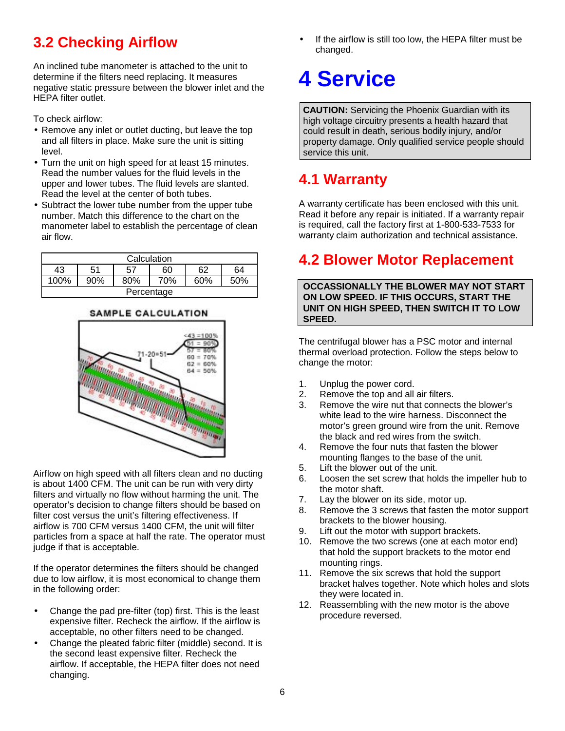### **3.2 Checking Airflow**

An inclined tube manometer is attached to the unit to determine if the filters need replacing. It measures negative static pressure between the blower inlet and the HEPA filter outlet.

To check airflow:

- Remove any inlet or outlet ducting, but leave the top and all filters in place. Make sure the unit is sitting level.
- Turn the unit on high speed for at least 15 minutes. Read the number values for the fluid levels in the upper and lower tubes. The fluid levels are slanted. Read the level at the center of both tubes.
- Subtract the lower tube number from the upper tube number. Match this difference to the chart on the manometer label to establish the percentage of clean air flow.

| Calculation |     |          |     |     |     |  |
|-------------|-----|----------|-----|-----|-----|--|
| 43          | 51  | 60<br>57 |     | 62  | 64  |  |
| 100%        | 90% | 80%      | 70% | 60% | 50% |  |
| Percentage  |     |          |     |     |     |  |

#### **SAMPLE CALCULATION**



Airflow on high speed with all filters clean and no ducting is about 1400 CFM. The unit can be run with very dirty filters and virtually no flow without harming the unit. The operator's decision to change filters should be based on filter cost versus the unit's filtering effectiveness. If airflow is 700 CFM versus 1400 CFM, the unit will filter particles from a space at half the rate. The operator must judge if that is acceptable.

If the operator determines the filters should be changed due to low airflow, it is most economical to change them in the following order:

- Change the pad pre-filter (top) first. This is the least expensive filter. Recheck the airflow. If the airflow is acceptable, no other filters need to be changed.
- Change the pleated fabric filter (middle) second. It is the second least expensive filter. Recheck the airflow. If acceptable, the HEPA filter does not need changing.

If the airflow is still too low, the HEPA filter must be changed.

# **4 Service**

**CAUTION:** Servicing the Phoenix Guardian with its high voltage circuitry presents a health hazard that could result in death, serious bodily injury, and/or property damage. Only qualified service people should service this unit.

## **4.1 Warranty**

A warranty certificate has been enclosed with this unit. Read it before any repair is initiated. If a warranty repair is required, call the factory first at 1-800-533-7533 for warranty claim authorization and technical assistance.

### **4.2 Blower Motor Replacement**

**OCCASSIONALLY THE BLOWER MAY NOT START ON LOW SPEED. IF THIS OCCURS, START THE UNIT ON HIGH SPEED, THEN SWITCH IT TO LOW SPEED.**

The centrifugal blower has a PSC motor and internal thermal overload protection. Follow the steps below to change the motor:

- 1. Unplug the power cord.
- 2. Remove the top and all air filters.
- 3. Remove the wire nut that connects the blower's white lead to the wire harness. Disconnect the motor's green ground wire from the unit. Remove the black and red wires from the switch.
- 4. Remove the four nuts that fasten the blower mounting flanges to the base of the unit.
- 5. Lift the blower out of the unit.
- 6. Loosen the set screw that holds the impeller hub to the motor shaft.
- 7. Lay the blower on its side, motor up.
- 8. Remove the 3 screws that fasten the motor support brackets to the blower housing.
- 9. Lift out the motor with support brackets.
- 10. Remove the two screws (one at each motor end) that hold the support brackets to the motor end mounting rings.
- 11. Remove the six screws that hold the support bracket halves together. Note which holes and slots they were located in.
- 12. Reassembling with the new motor is the above procedure reversed.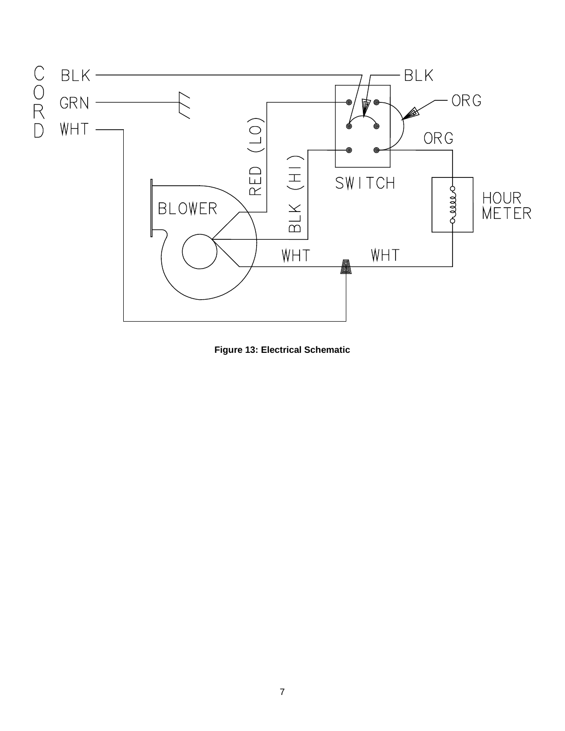

**Figure 13: Electrical Schematic**